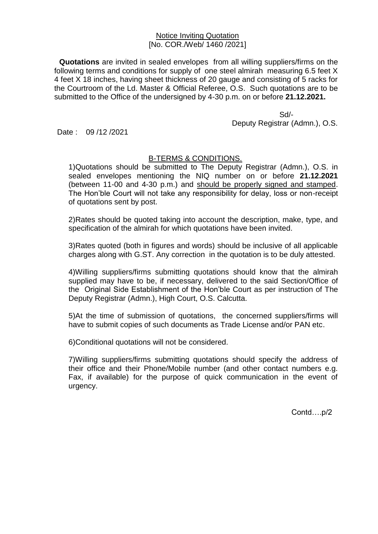## Notice Inviting Quotation [No. COR./Web/ 1460 /2021]

**Quotations** are invited in sealed envelopes from all willing suppliers/firms on the following terms and conditions for supply of one steel almirah measuring 6.5 feet X 4 feet X 18 inches, having sheet thickness of 20 gauge and consisting of 5 racks for the Courtroom of the Ld. Master & Official Referee, O.S. Such quotations are to be submitted to the Office of the undersigned by 4-30 p.m. on or before **21.12.2021.**

 Sd/- Deputy Registrar (Admn.), O.S.

Date: 09/12/2021

## B-TERMS & CONDITIONS.

1)Quotations should be submitted to The Deputy Registrar (Admn.), O.S. in sealed envelopes mentioning the NIQ number on or before **21.12.2021** (between 11-00 and 4-30 p.m.) and should be properly signed and stamped. The Hon'ble Court will not take any responsibility for delay, loss or non-receipt of quotations sent by post.

2)Rates should be quoted taking into account the description, make, type, and specification of the almirah for which quotations have been invited.

3)Rates quoted (both in figures and words) should be inclusive of all applicable charges along with G.ST. Any correction in the quotation is to be duly attested.

4)Willing suppliers/firms submitting quotations should know that the almirah supplied may have to be, if necessary, delivered to the said Section/Office of the Original Side Establishment of the Hon'ble Court as per instruction of The Deputy Registrar (Admn.), High Court, O.S. Calcutta.

5)At the time of submission of quotations, the concerned suppliers/firms will have to submit copies of such documents as Trade License and/or PAN etc.

6)Conditional quotations will not be considered.

7)Willing suppliers/firms submitting quotations should specify the address of their office and their Phone/Mobile number (and other contact numbers e.g. Fax, if available) for the purpose of quick communication in the event of urgency.

Contd….p/2